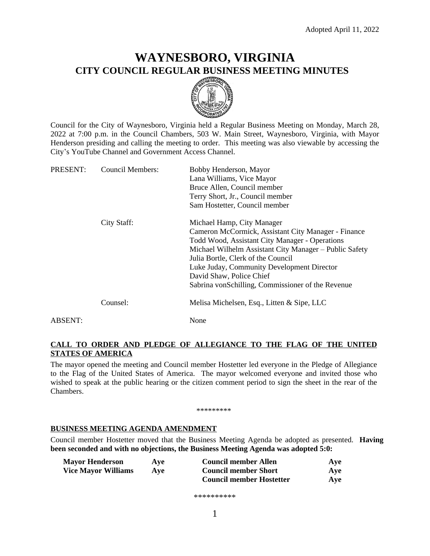# **WAYNESBORO, VIRGINIA CITY COUNCIL REGULAR BUSINESS MEETING MINUTES**



Council for the City of Waynesboro, Virginia held a Regular Business Meeting on Monday, March 28, 2022 at 7:00 p.m. in the Council Chambers, 503 W. Main Street, Waynesboro, Virginia, with Mayor Henderson presiding and calling the meeting to order. This meeting was also viewable by accessing the City's YouTube Channel and Government Access Channel.

| PRESENT: | Council Members: | Bobby Henderson, Mayor                                 |
|----------|------------------|--------------------------------------------------------|
|          |                  | Lana Williams, Vice Mayor                              |
|          |                  | Bruce Allen, Council member                            |
|          |                  | Terry Short, Jr., Council member                       |
|          |                  | Sam Hostetter, Council member                          |
|          | City Staff:      | Michael Hamp, City Manager                             |
|          |                  | Cameron McCormick, Assistant City Manager - Finance    |
|          |                  | Todd Wood, Assistant City Manager - Operations         |
|          |                  | Michael Wilhelm Assistant City Manager – Public Safety |
|          |                  | Julia Bortle, Clerk of the Council                     |
|          |                  | Luke Juday, Community Development Director             |
|          |                  | David Shaw, Police Chief                               |
|          |                  | Sabrina vonSchilling, Commissioner of the Revenue      |
|          | Counsel:         | Melisa Michelsen, Esq., Litten & Sipe, LLC             |
| ABSENT:  |                  | None                                                   |
|          |                  |                                                        |

# **CALL TO ORDER AND PLEDGE OF ALLEGIANCE TO THE FLAG OF THE UNITED STATES OF AMERICA**

The mayor opened the meeting and Council member Hostetter led everyone in the Pledge of Allegiance to the Flag of the United States of America. The mayor welcomed everyone and invited those who wished to speak at the public hearing or the citizen comment period to sign the sheet in the rear of the Chambers.

\*\*\*\*\*\*\*\*\*

# **BUSINESS MEETING AGENDA AMENDMENT**

Council member Hostetter moved that the Business Meeting Agenda be adopted as presented. **Having been seconded and with no objections, the Business Meeting Agenda was adopted 5:0:**

| <b>Mayor Henderson</b>     | Ave | <b>Council member Allen</b>     | Ave |
|----------------------------|-----|---------------------------------|-----|
| <b>Vice Mayor Williams</b> | Ave | <b>Council member Short</b>     | Ave |
|                            |     | <b>Council member Hostetter</b> | Ave |

\*\*\*\*\*\*\*\*\*\*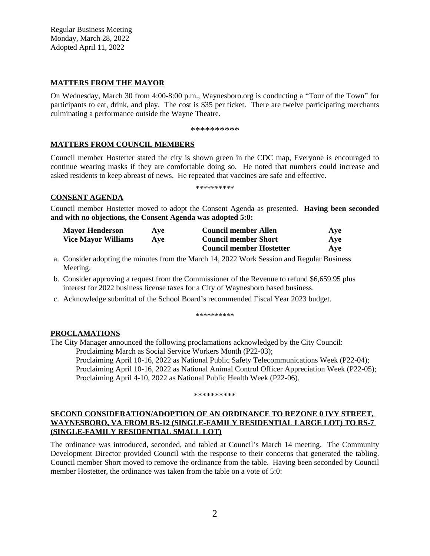Regular Business Meeting Monday, March 28, 2022 Adopted April 11, 2022

# **MATTERS FROM THE MAYOR**

On Wednesday, March 30 from 4:00-8:00 p.m., Waynesboro.org is conducting a "Tour of the Town" for participants to eat, drink, and play. The cost is \$35 per ticket. There are twelve participating merchants culminating a performance outside the Wayne Theatre.

\*\*\*\*\*\*\*\*\*\*

# **MATTERS FROM COUNCIL MEMBERS**

Council member Hostetter stated the city is shown green in the CDC map, Everyone is encouraged to continue wearing masks if they are comfortable doing so. He noted that numbers could increase and asked residents to keep abreast of news. He repeated that vaccines are safe and effective.

\*\*\*\*\*\*\*\*\*\*

### **CONSENT AGENDA**

Council member Hostetter moved to adopt the Consent Agenda as presented. **Having been seconded and with no objections, the Consent Agenda was adopted 5:0:**

| <b>Mayor Henderson</b>     | Ave        | <b>Council member Allen</b>     | Ave |
|----------------------------|------------|---------------------------------|-----|
| <b>Vice Mayor Williams</b> | <b>Ave</b> | <b>Council member Short</b>     | Ave |
|                            |            | <b>Council member Hostetter</b> | Ave |

- a. Consider adopting the minutes from the March 14, 2022 Work Session and Regular Business Meeting.
- b. Consider approving a request from the Commissioner of the Revenue to refund \$6,659.95 plus interest for 2022 business license taxes for a City of Waynesboro based business.
- c. Acknowledge submittal of the School Board's recommended Fiscal Year 2023 budget.

\*\*\*\*\*\*\*\*\*\*

### **PROCLAMATIONS**

The City Manager announced the following proclamations acknowledged by the City Council: Proclaiming March as Social Service Workers Month (P22-03);

Proclaiming April 10-16, 2022 as National Public Safety Telecommunications Week (P22-04); Proclaiming April 10-16, 2022 as National Animal Control Officer Appreciation Week (P22-05); Proclaiming April 4-10, 2022 as National Public Health Week (P22-06).

#### \*\*\*\*\*\*\*\*\*\*

# **SECOND CONSIDERATION/ADOPTION OF AN ORDINANCE TO REZONE 0 IVY STREET, WAYNESBORO, VA FROM RS-12 (SINGLE-FAMILY RESIDENTIAL LARGE LOT) TO RS-7 (SINGLE-FAMILY RESIDENTIAL SMALL LOT)**

The ordinance was introduced, seconded, and tabled at Council's March 14 meeting. The Community Development Director provided Council with the response to their concerns that generated the tabling. Council member Short moved to remove the ordinance from the table. Having been seconded by Council member Hostetter, the ordinance was taken from the table on a vote of 5:0: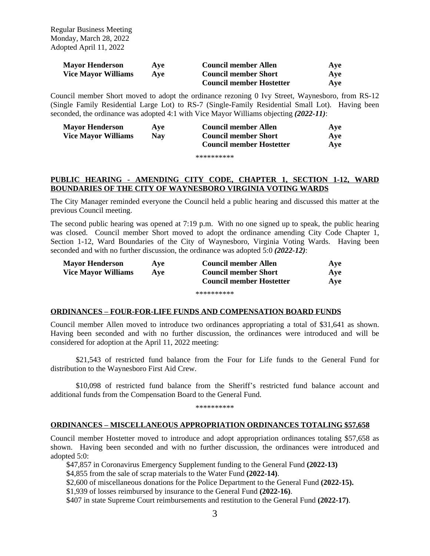Regular Business Meeting Monday, March 28, 2022 Adopted April 11, 2022

| <b>Mayor Henderson</b>     | Ave | <b>Council member Allen</b>     | Ave |
|----------------------------|-----|---------------------------------|-----|
| <b>Vice Mayor Williams</b> | Ave | <b>Council member Short</b>     | Ave |
|                            |     | <b>Council member Hostetter</b> | Ave |

Council member Short moved to adopt the ordinance rezoning 0 Ivy Street, Waynesboro, from RS-12 (Single Family Residential Large Lot) to RS-7 (Single-Family Residential Small Lot). Having been seconded, the ordinance was adopted 4:1 with Vice Mayor Williams objecting *(2022-11)*:

| <b>Mayor Henderson</b>     | Ave        | <b>Council member Allen</b>     | Ave |
|----------------------------|------------|---------------------------------|-----|
| <b>Vice Mayor Williams</b> | <b>Nav</b> | <b>Council member Short</b>     | Ave |
|                            |            | <b>Council member Hostetter</b> | Ave |

\*\*\*\*\*\*\*\*\*\*

# **PUBLIC HEARING - AMENDING CITY CODE, CHAPTER 1, SECTION 1-12, WARD BOUNDARIES OF THE CITY OF WAYNESBORO VIRGINIA VOTING WARDS**

The City Manager reminded everyone the Council held a public hearing and discussed this matter at the previous Council meeting.

The second public hearing was opened at 7:19 p.m. With no one signed up to speak, the public hearing was closed. Council member Short moved to adopt the ordinance amending City Code Chapter 1, Section 1-12, Ward Boundaries of the City of Waynesboro, Virginia Voting Wards. Having been seconded and with no further discussion, the ordinance was adopted 5:0 *(2022-12)*:

| <b>Mayor Henderson</b>     | Ave | <b>Council member Allen</b>     | Ave |
|----------------------------|-----|---------------------------------|-----|
| <b>Vice Mayor Williams</b> | Ave | <b>Council member Short</b>     | Ave |
|                            |     | <b>Council member Hostetter</b> | Ave |

#### \*\*\*\*\*\*\*\*\*\*

### **ORDINANCES – FOUR-FOR-LIFE FUNDS AND COMPENSATION BOARD FUNDS**

Council member Allen moved to introduce two ordinances appropriating a total of \$31,641 as shown. Having been seconded and with no further discussion, the ordinances were introduced and will be considered for adoption at the April 11, 2022 meeting:

\$21,543 of restricted fund balance from the Four for Life funds to the General Fund for distribution to the Waynesboro First Aid Crew.

\$10,098 of restricted fund balance from the Sheriff's restricted fund balance account and additional funds from the Compensation Board to the General Fund.

\*\*\*\*\*\*\*\*\*\*

### **ORDINANCES – MISCELLANEOUS APPROPRIATION ORDINANCES TOTALING \$57,658**

Council member Hostetter moved to introduce and adopt appropriation ordinances totaling \$57,658 as shown. Having been seconded and with no further discussion, the ordinances were introduced and adopted 5:0:

\$47,857 in Coronavirus Emergency Supplement funding to the General Fund **(2022-13)**

\$4,855 from the sale of scrap materials to the Water Fund **(2022-14)**.

\$2,600 of miscellaneous donations for the Police Department to the General Fund **(2022-15).**

\$1,939 of losses reimbursed by insurance to the General Fund **(2022-16)**.

\$407 in state Supreme Court reimbursements and restitution to the General Fund **(2022-17)**.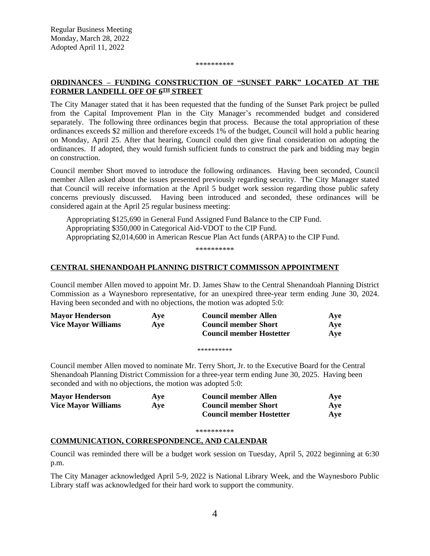#### \*\*\*\*\*\*\*\*\*\*

# **ORDINANCES – FUNDING CONSTRUCTION OF "SUNSET PARK" LOCATED AT THE FORMER LANDFILL OFF OF 6TH STREET**

The City Manager stated that it has been requested that the funding of the Sunset Park project be pulled from the Capital Improvement Plan in the City Manager's recommended budget and considered separately. The following three ordinances begin that process. Because the total appropriation of these ordinances exceeds \$2 million and therefore exceeds 1% of the budget, Council will hold a public hearing on Monday, April 25. After that hearing, Council could then give final consideration on adopting the ordinances. If adopted, they would furnish sufficient funds to construct the park and bidding may begin on construction.

Council member Short moved to introduce the following ordinances. Having been seconded, Council member Allen asked about the issues presented previously regarding security. The City Manager stated that Council will receive information at the April 5 budget work session regarding those public safety concerns previously discussed. Having been introduced and seconded, these ordinances will be considered again at the April 25 regular business meeting:

Appropriating \$125,690 in General Fund Assigned Fund Balance to the CIP Fund. Appropriating \$350,000 in Categorical Aid-VDOT to the CIP Fund. Appropriating \$2,014,600 in American Rescue Plan Act funds (ARPA) to the CIP Fund.

\*\*\*\*\*\*\*\*\*\*

# **CENTRAL SHENANDOAH PLANNING DISTRICT COMMISSON APPOINTMENT**

Council member Allen moved to appoint Mr. D. James Shaw to the Central Shenandoah Planning District Commission as a Waynesboro representative, for an unexpired three-year term ending June 30, 2024. Having been seconded and with no objections, the motion was adopted 5:0:

| <b>Mayor Henderson</b>     | Ave | <b>Council member Allen</b>     | Ave |
|----------------------------|-----|---------------------------------|-----|
| <b>Vice Mayor Williams</b> | Ave | <b>Council member Short</b>     | Ave |
|                            |     | <b>Council member Hostetter</b> | Ave |

\*\*\*\*\*\*\*\*\*\*

Council member Allen moved to nominate Mr. Terry Short, Jr. to the Executive Board for the Central Shenandoah Planning District Commission for a three-year term ending June 30, 2025. Having been seconded and with no objections, the motion was adopted 5:0:

| <b>Mayor Henderson</b>     | Ave | Council member Allen            | Ave |
|----------------------------|-----|---------------------------------|-----|
| <b>Vice Mayor Williams</b> | Ave | <b>Council member Short</b>     | Ave |
|                            |     | <b>Council member Hostetter</b> | Ave |

\*\*\*\*\*\*\*\*\*\*

# **COMMUNICATION, CORRESPONDENCE, AND CALENDAR**

Council was reminded there will be a budget work session on Tuesday, April 5, 2022 beginning at 6:30 p.m.

The City Manager acknowledged April 5-9, 2022 is National Library Week, and the Waynesboro Public Library staff was acknowledged for their hard work to support the community.